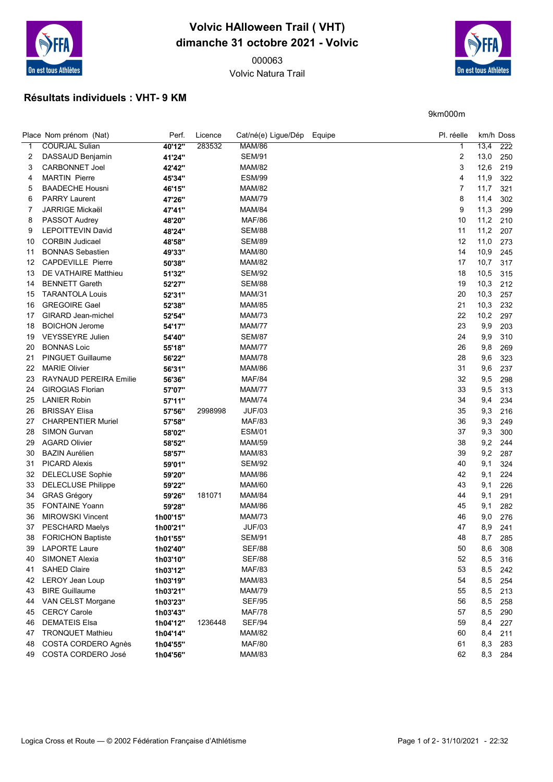

## Volvic HAlloween Trail ( VHT) dimanche 31 octobre 2021 - Volvic

Volvic Natura Trail



9km000m

## Résultats individuels : VHT- 9 KM

|              | Place Nom prénom (Nat)        | Perf.    | Licence | Cat/né(e) Ligue/Dép Equipe | Pl. réelle |      | km/h Doss        |
|--------------|-------------------------------|----------|---------|----------------------------|------------|------|------------------|
| $\mathbf{1}$ | <b>COURJAL Sulian</b>         | 40'12"   | 283532  | <b>MAM/86</b>              | 1          | 13,4 | $\overline{222}$ |
| 2            | DASSAUD Benjamin              | 41'24"   |         | <b>SEM/91</b>              | 2          | 13,0 | 250              |
| 3            | <b>CARBONNET Joel</b>         | 42'42"   |         | <b>MAM/82</b>              | 3          | 12,6 | 219              |
| 4            | <b>MARTIN Pierre</b>          | 45'34"   |         | <b>ESM/99</b>              | 4          | 11,9 | 322              |
| 5            | <b>BAADECHE Housni</b>        | 46'15"   |         | <b>MAM/82</b>              | 7          | 11,7 | 321              |
| 6            | <b>PARRY Laurent</b>          | 47'26"   |         | <b>MAM/79</b>              | 8          | 11,4 | 302              |
| 7            | <b>JARRIGE Mickaël</b>        | 47'41"   |         | <b>MAM/84</b>              | 9          | 11,3 | 299              |
| 8            | PASSOT Audrey                 | 48'20"   |         | <b>MAF/86</b>              | 10         | 11,2 | 210              |
| 9            | <b>LEPOITTEVIN David</b>      | 48'24"   |         | <b>SEM/88</b>              | 11         | 11,2 | 207              |
| 10           | <b>CORBIN Judicael</b>        | 48'58"   |         | <b>SEM/89</b>              | 12         | 11,0 | 273              |
| 11           | <b>BONNAS Sebastien</b>       | 49'33"   |         | <b>MAM/80</b>              | 14         | 10,9 | 245              |
| 12           | <b>CAPDEVILLE Pierre</b>      | 50'38"   |         | <b>MAM/82</b>              | 17         | 10,7 | 317              |
| 13           | DE VATHAIRE Matthieu          | 51'32"   |         | <b>SEM/92</b>              | 18         | 10,5 | 315              |
| 14           | <b>BENNETT Gareth</b>         | 52'27"   |         | <b>SEM/88</b>              | 19         | 10,3 | 212              |
| 15           | <b>TARANTOLA Louis</b>        | 52'31"   |         | <b>MAM/31</b>              | 20         | 10,3 | 257              |
| 16           | <b>GREGOIRE Gael</b>          | 52'38"   |         | <b>MAM/85</b>              | 21         | 10,3 | 232              |
| 17           | GIRARD Jean-michel            | 52'54"   |         | <b>MAM/73</b>              | 22         | 10,2 | 297              |
| 18           | <b>BOICHON Jerome</b>         | 54'17"   |         | <b>MAM/77</b>              | 23         | 9,9  | 203              |
| 19           | <b>VEYSSEYRE Julien</b>       | 54'40"   |         | <b>SEM/87</b>              | 24         | 9,9  | 310              |
| 20           | <b>BONNAS Loic</b>            | 55'18"   |         | <b>MAM/77</b>              | 26         | 9,8  | 269              |
| 21           | <b>PINGUET Guillaume</b>      | 56'22"   |         | <b>MAM/78</b>              | 28         | 9,6  | 323              |
| 22           | <b>MARIE Olivier</b>          | 56'31"   |         | <b>MAM/86</b>              | 31         | 9,6  | 237              |
| 23           | <b>RAYNAUD PEREIRA Emilie</b> | 56'36"   |         | <b>MAF/84</b>              | 32         | 9,5  | 298              |
| 24           | <b>GIROGIAS Florian</b>       | 57'07"   |         | <b>MAM/77</b>              | 33         | 9,5  | 313              |
| 25           | <b>LANIER Robin</b>           | 57'11"   |         | <b>MAM/74</b>              | 34         | 9,4  | 234              |
| 26           | <b>BRISSAY Elisa</b>          | 57'56"   | 2998998 | <b>JUF/03</b>              | 35         | 9,3  | 216              |
| 27           | <b>CHARPENTIER Muriel</b>     | 57'58"   |         | <b>MAF/83</b>              | 36         | 9,3  | 249              |
| 28           | <b>SIMON Gurvan</b>           | 58'02"   |         | <b>ESM/01</b>              | 37         | 9,3  | 300              |
| 29           | <b>AGARD Olivier</b>          | 58'52"   |         | <b>MAM/59</b>              | 38         | 9,2  | 244              |
| 30           | <b>BAZIN Aurélien</b>         | 58'57"   |         | <b>MAM/83</b>              | 39         | 9,2  | 287              |
| 31           | PICARD Alexis                 | 59'01"   |         | <b>SEM/92</b>              | 40         | 9,1  | 324              |
| 32           | <b>DELECLUSE Sophie</b>       | 59'20"   |         | <b>MAM/86</b>              | 42         | 9,1  | 224              |
| 33           | <b>DELECLUSE Philippe</b>     | 59'22"   |         | <b>MAM/60</b>              | 43         | 9,1  | 226              |
| 34           | <b>GRAS Grégory</b>           | 59'26"   | 181071  | <b>MAM/84</b>              | 44         | 9,1  | 291              |
| 35           | <b>FONTAINE Yoann</b>         | 59'28"   |         | <b>MAM/86</b>              | 45         | 9,1  | 282              |
| 36           | <b>MIROWSKI Vincent</b>       | 1h00'15" |         | <b>MAM/73</b>              | 46         | 9,0  | 276              |
| 37           | <b>PESCHARD Maelys</b>        | 1h00'21" |         | <b>JUF/03</b>              | 47         | 8,9  | 241              |
| 38           | <b>FORICHON Baptiste</b>      | 1h01'55" |         | <b>SEM/91</b>              | 48         | 8,7  | 285              |
| 39           | <b>LAPORTE Laure</b>          | 1h02'40" |         | <b>SEF/88</b>              | 50         | 8,6  | 308              |
| 40           | SIMONET Alexia                | 1h03'10" |         | <b>SEF/88</b>              | 52         | 8,5  | 316              |
| 41           | <b>SAHED Claire</b>           | 1h03'12" |         | <b>MAF/83</b>              | 53         | 8,5  | 242              |
| 42           | <b>LEROY Jean Loup</b>        | 1h03'19" |         | <b>MAM/83</b>              | 54         | 8,5  | 254              |
| 43           | <b>BIRE Guillaume</b>         | 1h03'21" |         | <b>MAM/79</b>              | 55         | 8,5  | 213              |
| 44           | VAN CELST Morgane             | 1h03'23" |         | <b>SEF/95</b>              | 56         | 8,5  | 258              |
| 45           | <b>CERCY Carole</b>           | 1h03'43" |         | <b>MAF/78</b>              | 57         | 8,5  | 290              |
| 46           | <b>DEMATEIS Elsa</b>          | 1h04'12" | 1236448 | <b>SEF/94</b>              | 59         | 8,4  | 227              |
| 47           | <b>TRONQUET Mathieu</b>       | 1h04'14" |         | <b>MAM/82</b>              | 60         | 8,4  | 211              |
| 48           | COSTA CORDERO Agnès           | 1h04'55" |         | <b>MAF/80</b>              | 61         | 8,3  | 283              |
| 49           | COSTA CORDERO José            | 1h04'56" |         | <b>MAM/83</b>              | 62         | 8,3  | 284              |